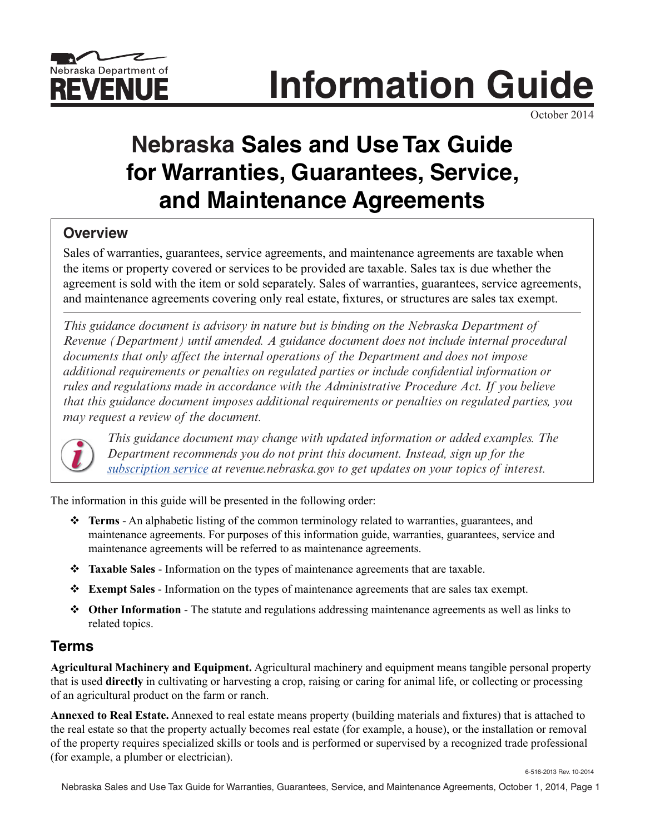

**Information Guide**

October 2014

# **Nebraska Sales and Use Tax Guide for Warranties, Guarantees, Service, and Maintenance Agreements**

# **Overview**

Sales of warranties, guarantees, service agreements, and maintenance agreements are taxable when the items or property covered or services to be provided are taxable. Sales tax is due whether the agreement is sold with the item or sold separately. Sales of warranties, guarantees, service agreements, and maintenance agreements covering only real estate, fixtures, or structures are sales tax exempt.

*This guidance document is advisory in nature but is binding on the Nebraska Department of Revenue (Department) until amended. A guidance document does not include internal procedural documents that only affect the internal operations of the Department and does not impose additional requirements or penalties on regulated parties or include confidential information or rules and regulations made in accordance with the Administrative Procedure Act. If you believe that this guidance document imposes additional requirements or penalties on regulated parties, you may request a review of the document.*



*This guidance document may change with updated information or added examples. The Department recommends you do not print this document. Instead, sign up for the [subscription service a](https://public.govdelivery.com/accounts/NEREV/subscriber/new)t revenue.nebraska.gov to get updates on your topics of interest.*

The information in this guide will be presented in the following order:

- v **Terms** An alphabetic listing of the common terminology related to warranties, guarantees, and maintenance agreements. For purposes of this information guide, warranties, guarantees, service and maintenance agreements will be referred to as maintenance agreements.
- **Example Sales** Information on the types of maintenance agreements that are taxable.
- **<b>Exempt Sales** Information on the types of maintenance agreements that are sales tax exempt.
- $\diamond$  **Other Information** The statute and regulations addressing maintenance agreements as well as links to related topics.

# **Terms**

**Agricultural Machinery and Equipment.** Agricultural machinery and equipment means tangible personal property that is used **directly** in cultivating or harvesting a crop, raising or caring for animal life, or collecting or processing of an agricultural product on the farm or ranch.

**Annexed to Real Estate.** Annexed to real estate means property (building materials and fixtures) that is attached to the real estate so that the property actually becomes real estate (for example, a house), or the installation or removal of the property requires specialized skills or tools and is performed or supervised by a recognized trade professional (for example, a plumber or electrician).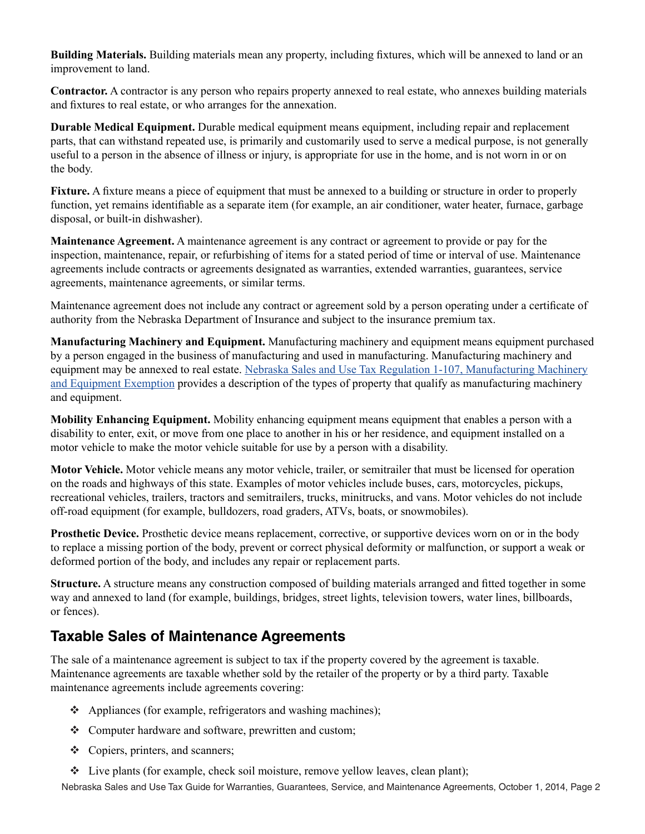**Building Materials.** Building materials mean any property, including fixtures, which will be annexed to land or an improvement to land.

**Contractor.** A contractor is any person who repairs property annexed to real estate, who annexes building materials and fixtures to real estate, or who arranges for the annexation.

**Durable Medical Equipment.** Durable medical equipment means equipment, including repair and replacement parts, that can withstand repeated use, is primarily and customarily used to serve a medical purpose, is not generally useful to a person in the absence of illness or injury, is appropriate for use in the home, and is not worn in or on the body.

**Fixture.** A fixture means a piece of equipment that must be annexed to a building or structure in order to properly function, yet remains identifiable as a separate item (for example, an air conditioner, water heater, furnace, garbage disposal, or built-in dishwasher).

**Maintenance Agreement.** A maintenance agreement is any contract or agreement to provide or pay for the inspection, maintenance, repair, or refurbishing of items for a stated period of time or interval of use. Maintenance agreements include contracts or agreements designated as warranties, extended warranties, guarantees, service agreements, maintenance agreements, or similar terms.

Maintenance agreement does not include any contract or agreement sold by a person operating under a certificate of authority from the Nebraska Department of Insurance and subject to the insurance premium tax.

**Manufacturing Machinery and Equipment.** Manufacturing machinery and equipment means equipment purchased by a person engaged in the business of manufacturing and used in manufacturing. Manufacturing machinery and equipment may be annexed to real estate. [Nebraska Sales and Use Tax Regulation 1-107, Manufacturing Machinery](https://revenue.nebraska.gov/sites/revenue.nebraska.gov/files/doc/legal/regs/1-107.pdf) [and Equipment Exemption p](https://revenue.nebraska.gov/sites/revenue.nebraska.gov/files/doc/legal/regs/1-107.pdf)rovides a description of the types of property that qualify as manufacturing machinery and equipment.

**Mobility Enhancing Equipment.** Mobility enhancing equipment means equipment that enables a person with a disability to enter, exit, or move from one place to another in his or her residence, and equipment installed on a motor vehicle to make the motor vehicle suitable for use by a person with a disability.

**Motor Vehicle.** Motor vehicle means any motor vehicle, trailer, or semitrailer that must be licensed for operation on the roads and highways of this state. Examples of motor vehicles include buses, cars, motorcycles, pickups, recreational vehicles, trailers, tractors and semitrailers, trucks, minitrucks, and vans. Motor vehicles do not include off-road equipment (for example, bulldozers, road graders, ATVs, boats, or snowmobiles).

**Prosthetic Device.** Prosthetic device means replacement, corrective, or supportive devices worn on or in the body to replace a missing portion of the body, prevent or correct physical deformity or malfunction, or support a weak or deformed portion of the body, and includes any repair or replacement parts.

**Structure.** A structure means any construction composed of building materials arranged and fitted together in some way and annexed to land (for example, buildings, bridges, street lights, television towers, water lines, billboards, or fences).

# **Taxable Sales of Maintenance Agreements**

The sale of a maintenance agreement is subject to tax if the property covered by the agreement is taxable. Maintenance agreements are taxable whether sold by the retailer of the property or by a third party. Taxable maintenance agreements include agreements covering:

- $\triangleleft$  Appliances (for example, refrigerators and washing machines);
- $\triangleleft$  Computer hardware and software, prewritten and custom;
- $\triangleleft$  Copiers, printers, and scanners;
- $\div$  Live plants (for example, check soil moisture, remove yellow leaves, clean plant);

Nebraska Sales and Use Tax Guide for Warranties, Guarantees, Service, and Maintenance Agreements, October 1, 2014, Page 2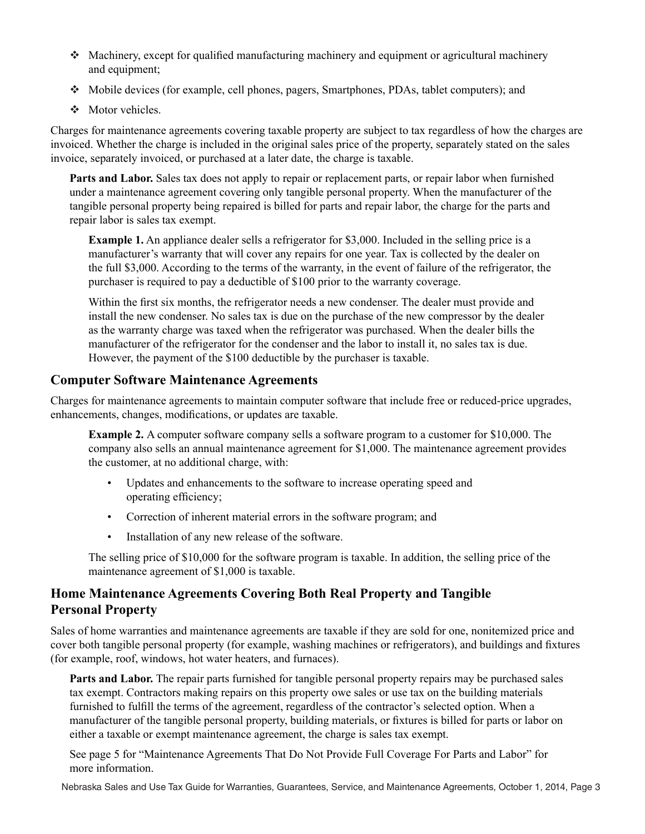- $\bullet$  Machinery, except for qualified manufacturing machinery and equipment or agricultural machinery and equipment;
- Mobile devices (for example, cell phones, pagers, Smartphones, PDAs, tablet computers); and
- $\div$  Motor vehicles.

Charges for maintenance agreements covering taxable property are subject to tax regardless of how the charges are invoiced. Whether the charge is included in the original sales price of the property, separately stated on the sales invoice, separately invoiced, or purchased at a later date, the charge is taxable.

**Parts and Labor.** Sales tax does not apply to repair or replacement parts, or repair labor when furnished under a maintenance agreement covering only tangible personal property. When the manufacturer of the tangible personal property being repaired is billed for parts and repair labor, the charge for the parts and repair labor is sales tax exempt.

**Example 1.** An appliance dealer sells a refrigerator for \$3,000. Included in the selling price is a manufacturer's warranty that will cover any repairs for one year. Tax is collected by the dealer on the full \$3,000. According to the terms of the warranty, in the event of failure of the refrigerator, the purchaser is required to pay a deductible of \$100 prior to the warranty coverage.

Within the first six months, the refrigerator needs a new condenser. The dealer must provide and install the new condenser. No sales tax is due on the purchase of the new compressor by the dealer as the warranty charge was taxed when the refrigerator was purchased. When the dealer bills the manufacturer of the refrigerator for the condenser and the labor to install it, no sales tax is due. However, the payment of the \$100 deductible by the purchaser is taxable.

## **Computer Software Maintenance Agreements**

Charges for maintenance agreements to maintain computer software that include free or reduced-price upgrades, enhancements, changes, modifications, or updates are taxable.

**Example 2.** A computer software company sells a software program to a customer for \$10,000. The company also sells an annual maintenance agreement for \$1,000. The maintenance agreement provides the customer, at no additional charge, with:

- Updates and enhancements to the software to increase operating speed and operating efficiency;
- Correction of inherent material errors in the software program; and
- Installation of any new release of the software.

The selling price of \$10,000 for the software program is taxable. In addition, the selling price of the maintenance agreement of \$1,000 is taxable.

## **Home Maintenance Agreements Covering Both Real Property and Tangible Personal Property**

Sales of home warranties and maintenance agreements are taxable if they are sold for one, nonitemized price and cover both tangible personal property (for example, washing machines or refrigerators), and buildings and fixtures (for example, roof, windows, hot water heaters, and furnaces).

**Parts and Labor.** The repair parts furnished for tangible personal property repairs may be purchased sales tax exempt. Contractors making repairs on this property owe sales or use tax on the building materials furnished to fulfill the terms of the agreement, regardless of the contractor's selected option. When a manufacturer of the tangible personal property, building materials, or fixtures is billed for parts or labor on either a taxable or exempt maintenance agreement, the charge is sales tax exempt.

See page 5 for "Maintenance Agreements That Do Not Provide Full Coverage For Parts and Labor" for more information.

Nebraska Sales and Use Tax Guide for Warranties, Guarantees, Service, and Maintenance Agreements, October 1, 2014, Page 3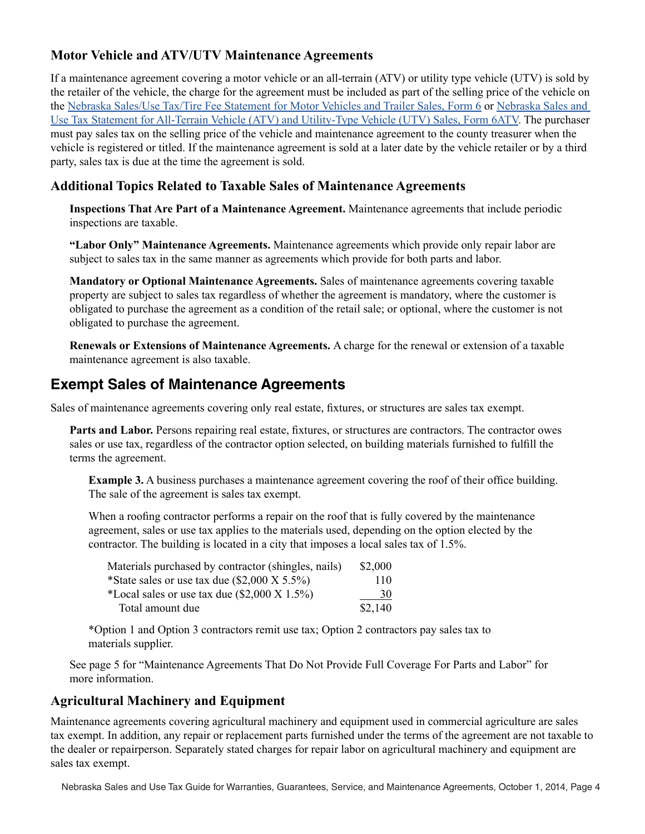## **Motor Vehicle and ATV/UTV Maintenance Agreements**

If a maintenance agreement covering a motor vehicle or an all-terrain (ATV) or utility type vehicle (UTV) is sold by the retailer of the vehicle, the charge for the agreement must be included as part of the selling price of the vehicle on the [Nebraska Sales/Use Tax/Tire Fee Statement for Motor Vehicles and Trailer Sales, Form 6 o](http://www.revenue.nebraska.gov/tax/current/fill-in/f_6.pdf)r [Nebraska Sales and](http://www.revenue.nebraska.gov/tax/current/fill-in/f_6atv.pdf)  [Use Tax Statement for All-Terrain Vehicle \(ATV\) and Utility-Type Vehicle \(UTV\) Sales, Form 6ATV](http://www.revenue.nebraska.gov/tax/current/fill-in/f_6atv.pdf). The purchaser must pay sales tax on the selling price of the vehicle and maintenance agreement to the county treasurer when the vehicle is registered or titled. If the maintenance agreement is sold at a later date by the vehicle retailer or by a third party, sales tax is due at the time the agreement is sold.

## **Additional Topics Related to Taxable Sales of Maintenance Agreements**

**Inspections That Are Part of a Maintenance Agreement.** Maintenance agreements that include periodic inspections are taxable.

**"Labor Only" Maintenance Agreements.** Maintenance agreements which provide only repair labor are subject to sales tax in the same manner as agreements which provide for both parts and labor.

**Mandatory or Optional Maintenance Agreements.** Sales of maintenance agreements covering taxable property are subject to sales tax regardless of whether the agreement is mandatory, where the customer is obligated to purchase the agreement as a condition of the retail sale; or optional, where the customer is not obligated to purchase the agreement.

**Renewals or Extensions of Maintenance Agreements.** A charge for the renewal or extension of a taxable maintenance agreement is also taxable.

# **Exempt Sales of Maintenance Agreements**

Sales of maintenance agreements covering only real estate, fixtures, or structures are sales tax exempt.

**Parts and Labor.** Persons repairing real estate, fixtures, or structures are contractors. The contractor owes sales or use tax, regardless of the contractor option selected, on building materials furnished to fulfill the terms the agreement.

**Example 3.** A business purchases a maintenance agreement covering the roof of their office building. The sale of the agreement is sales tax exempt.

When a roofing contractor performs a repair on the roof that is fully covered by the maintenance agreement, sales or use tax applies to the materials used, depending on the option elected by the contractor. The building is located in a city that imposes a local sales tax of 1.5%.

| Materials purchased by contractor (shingles, nails)      | \$2,000 |
|----------------------------------------------------------|---------|
| *State sales or use tax due $(\$2,000 \text{ X } 5.5\%)$ | 110     |
| *Local sales or use tax due $(\$2,000 \text{ X } 1.5\%)$ | 30      |
| Total amount due                                         | \$2,140 |

\*Option 1 and Option 3 contractors remit use tax; Option 2 contractors pay sales tax to materials supplier.

See page 5 for "Maintenance Agreements That Do Not Provide Full Coverage For Parts and Labor" for more information.

## **Agricultural Machinery and Equipment**

Maintenance agreements covering agricultural machinery and equipment used in commercial agriculture are sales tax exempt. In addition, any repair or replacement parts furnished under the terms of the agreement are not taxable to the dealer or repairperson. Separately stated charges for repair labor on agricultural machinery and equipment are sales tax exempt.

Nebraska Sales and Use Tax Guide for Warranties, Guarantees, Service, and Maintenance Agreements, October 1, 2014, Page 4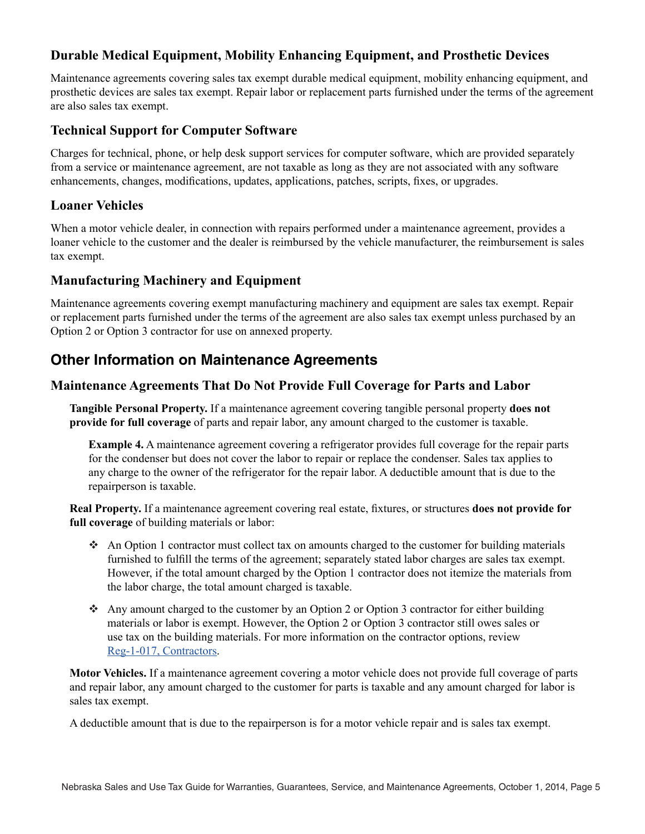## **Durable Medical Equipment, Mobility Enhancing Equipment, and Prosthetic Devices**

Maintenance agreements covering sales tax exempt durable medical equipment, mobility enhancing equipment, and prosthetic devices are sales tax exempt. Repair labor or replacement parts furnished under the terms of the agreement are also sales tax exempt.

#### **Technical Support for Computer Software**

Charges for technical, phone, or help desk support services for computer software, which are provided separately from a service or maintenance agreement, are not taxable as long as they are not associated with any software enhancements, changes, modifications, updates, applications, patches, scripts, fixes, or upgrades.

#### **Loaner Vehicles**

When a motor vehicle dealer, in connection with repairs performed under a maintenance agreement, provides a loaner vehicle to the customer and the dealer is reimbursed by the vehicle manufacturer, the reimbursement is sales tax exempt.

#### **Manufacturing Machinery and Equipment**

Maintenance agreements covering exempt manufacturing machinery and equipment are sales tax exempt. Repair or replacement parts furnished under the terms of the agreement are also sales tax exempt unless purchased by an Option 2 or Option 3 contractor for use on annexed property.

## **Other Information on Maintenance Agreements**

#### **Maintenance Agreements That Do Not Provide Full Coverage for Parts and Labor**

**Tangible Personal Property.** If a maintenance agreement covering tangible personal property **does not provide for full coverage** of parts and repair labor, any amount charged to the customer is taxable.

**Example 4.** A maintenance agreement covering a refrigerator provides full coverage for the repair parts for the condenser but does not cover the labor to repair or replace the condenser. Sales tax applies to any charge to the owner of the refrigerator for the repair labor. A deductible amount that is due to the repairperson is taxable.

**Real Property.** If a maintenance agreement covering real estate, fixtures, or structures **does not provide for full coverage** of building materials or labor:

- An Option 1 contractor must collect tax on amounts charged to the customer for building materials furnished to fulfill the terms of the agreement; separately stated labor charges are sales tax exempt. However, if the total amount charged by the Option 1 contractor does not itemize the materials from the labor charge, the total amount charged is taxable.
- Any amount charged to the customer by an Option 2 or Option 3 contractor for either building materials or labor is exempt. However, the Option 2 or Option 3 contractor still owes sales or use tax on the building materials. For more information on the contractor options, review [Reg-1-017, Contractors.](https://revenue.nebraska.gov/sites/revenue.nebraska.gov/files/doc/legal/regs/1-017.pdf)

**Motor Vehicles.** If a maintenance agreement covering a motor vehicle does not provide full coverage of parts and repair labor, any amount charged to the customer for parts is taxable and any amount charged for labor is sales tax exempt.

A deductible amount that is due to the repairperson is for a motor vehicle repair and is sales tax exempt.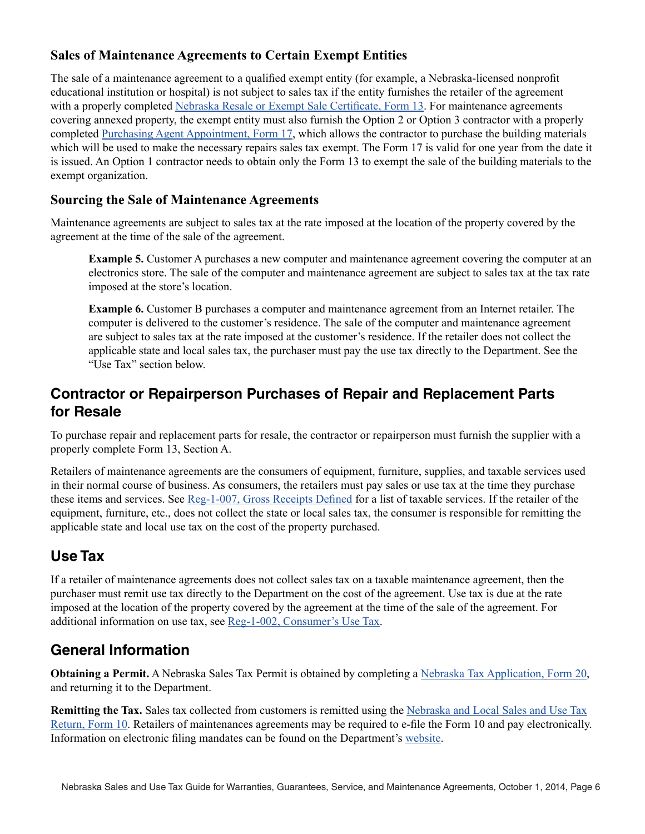## **Sales of Maintenance Agreements to Certain Exempt Entities**

The sale of a maintenance agreement to a qualified exempt entity (for example, a Nebraska-licensed nonprofit educational institution or hospital) is not subject to sales tax if the entity furnishes the retailer of the agreement with a properly completed [Nebraska Resale or Exempt Sale Certificate, Form 13](http://www.revenue.nebraska.gov/tax/current/fill-in/f_13.pdf). For maintenance agreements covering annexed property, the exempt entity must also furnish the Option 2 or Option 3 contractor with a properly completed [Purchasing Agent Appointment, Form 17,](http://www.revenue.nebraska.gov/tax/current/fill-in/f_17.pdf) which allows the contractor to purchase the building materials which will be used to make the necessary repairs sales tax exempt. The Form 17 is valid for one year from the date it is issued. An Option 1 contractor needs to obtain only the Form 13 to exempt the sale of the building materials to the exempt organization.

## **Sourcing the Sale of Maintenance Agreements**

Maintenance agreements are subject to sales tax at the rate imposed at the location of the property covered by the agreement at the time of the sale of the agreement.

**Example 5.** Customer A purchases a new computer and maintenance agreement covering the computer at an electronics store. The sale of the computer and maintenance agreement are subject to sales tax at the tax rate imposed at the store's location.

**Example 6.** Customer B purchases a computer and maintenance agreement from an Internet retailer. The computer is delivered to the customer's residence. The sale of the computer and maintenance agreement are subject to sales tax at the rate imposed at the customer's residence. If the retailer does not collect the applicable state and local sales tax, the purchaser must pay the use tax directly to the Department. See the "Use Tax" section below.

# **Contractor or Repairperson Purchases of Repair and Replacement Parts for Resale**

To purchase repair and replacement parts for resale, the contractor or repairperson must furnish the supplier with a properly complete Form 13, Section A.

Retailers of maintenance agreements are the consumers of equipment, furniture, supplies, and taxable services used in their normal course of business. As consumers, the retailers must pay sales or use tax at the time they purchase these items and services. See [Reg-1-007, Gross Receipts Defined](https://revenue.nebraska.gov/sites/revenue.nebraska.gov/files/doc/legal/regs/1-007.pdf) for a list of taxable services. If the retailer of the equipment, furniture, etc., does not collect the state or local sales tax, the consumer is responsible for remitting the applicable state and local use tax on the cost of the property purchased.

# **Use Tax**

If a retailer of maintenance agreements does not collect sales tax on a taxable maintenance agreement, then the purchaser must remit use tax directly to the Department on the cost of the agreement. Use tax is due at the rate imposed at the location of the property covered by the agreement at the time of the sale of the agreement. For additional information on use tax, see [Reg-1-002, Consumer's Use Tax.](https://revenue.nebraska.gov/sites/revenue.nebraska.gov/files/doc/legal/regs/1-002.pdf)

# **General Information**

**Obtaining a Permit.** A Nebraska Sales Tax Permit is obtained by completing a [Nebraska Tax Application,](http://www.revenue.nebraska.gov/tax/current/fill-in/f_20.pdf) Form 20, and returning it to the Department.

**Remitting the Tax.** Sales tax collected from customers is remitted using the [Nebraska and Local Sales and Use Tax](http://www.revenue.nebraska.gov/tax/current/fill-in/f_10_rev10-2014.pdf) [Return, Form 10](http://www.revenue.nebraska.gov/tax/current/fill-in/f_10_rev10-2014.pdf). Retailers of maintenances agreements may be required to e-file the Form 10 and pay electronically. Information on electronic filing mandates can be found on the Department's [website](https://revenue.nebraska.gov/).